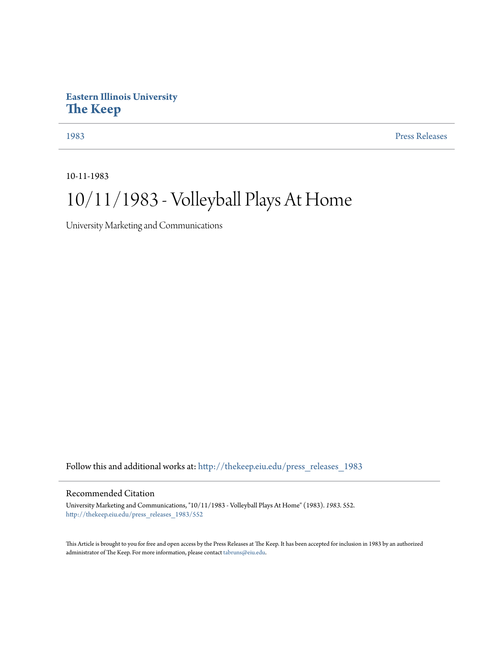## **Eastern Illinois University [The Keep](http://thekeep.eiu.edu?utm_source=thekeep.eiu.edu%2Fpress_releases_1983%2F552&utm_medium=PDF&utm_campaign=PDFCoverPages)**

[1983](http://thekeep.eiu.edu/press_releases_1983?utm_source=thekeep.eiu.edu%2Fpress_releases_1983%2F552&utm_medium=PDF&utm_campaign=PDFCoverPages) [Press Releases](http://thekeep.eiu.edu/press_releases_collection?utm_source=thekeep.eiu.edu%2Fpress_releases_1983%2F552&utm_medium=PDF&utm_campaign=PDFCoverPages)

10-11-1983

# 10/11/1983 - Volleyball Plays At Home

University Marketing and Communications

Follow this and additional works at: [http://thekeep.eiu.edu/press\\_releases\\_1983](http://thekeep.eiu.edu/press_releases_1983?utm_source=thekeep.eiu.edu%2Fpress_releases_1983%2F552&utm_medium=PDF&utm_campaign=PDFCoverPages)

### Recommended Citation

University Marketing and Communications, "10/11/1983 - Volleyball Plays At Home" (1983). *1983*. 552. [http://thekeep.eiu.edu/press\\_releases\\_1983/552](http://thekeep.eiu.edu/press_releases_1983/552?utm_source=thekeep.eiu.edu%2Fpress_releases_1983%2F552&utm_medium=PDF&utm_campaign=PDFCoverPages)

This Article is brought to you for free and open access by the Press Releases at The Keep. It has been accepted for inclusion in 1983 by an authorized administrator of The Keep. For more information, please contact [tabruns@eiu.edu.](mailto:tabruns@eiu.edu)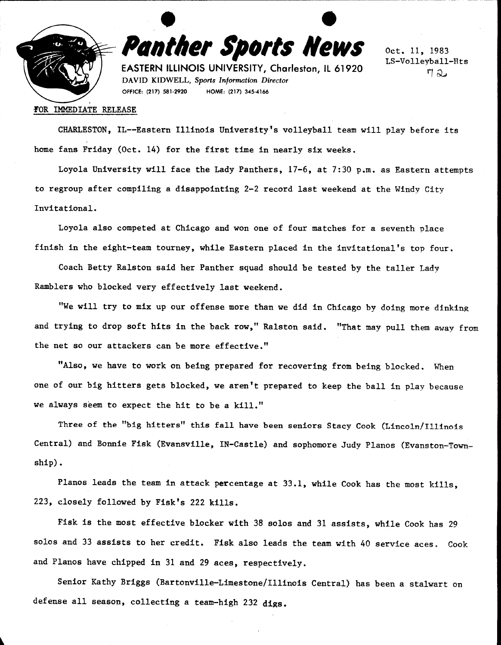

• **e Panther Sports News** 

**EASTERN ILLINOIS UNIVERSITY, Charleston, IL 61920**  DAVID KIDWELL, *Sports Information Director*  OFFICE: (217) 581-2920 HOME: (217) 345-4166

Oct. 11, 1983 LS-Volleyball-Hts  $\eta_{\alpha}$ 

#### ~OR IMMEDIATE RELEASE

CHARLESTON, IL--Eastern Illinois University's volleyball team will play before its home fans Friday (Oct. 14) for the first time in nearly six weeks.

Loyola University will face the Lady Panthers, 17-6, at 7:30 p.m. as Eastern attempts to regroup after compiling a disappointing 2-2 record last weekend at the Windy City Invitational.

Loyola also competed at Chicago and won one of four matches for a seventh place finish in the eight-team tourney, while Eastern placed in the invitational's top four.

Coach Betty Ralston said her Panther squad should be tested by the taller Lady Ramblers who blocked very effectively last weekend.

"We will try to mix up our offense more than we did in Chicago by doing more dinking and trying to drop soft hits in the back row," Ralston said. "That may pull them away from the net so our attackers can be more effective."

"Also, we have to work on being prepared for recovering from being blocked. When one of our big hitters gets blocked, we aren't prepared to keep the ball in play because we always seem to expect the hit to be a kill."

Three of the "big hitters" this fall have been seniors Stacy Cook (Lincoln/Illinois Central) and Bonnie Fisk (Evansville, IN-Castle) and sophomore Judy Pianos (Evanston-Township).

Planos leads the team in attack percentage at 33.1, while Cook has the most kills, 223, closely followed by Fisk's 222 kills.

Fisk is the most effective blocker with 38 solos and 31 assists, while Cook has 29 solos and 33 assists to her credit. Fisk also leads the team with 40 service aces. Cook and Planos have chipped in 31 and 29 aces, respectively.

Senior Kathy Briggs (Bartonville-Limestone/Illinois Central) has been a stalwart on defense all season, collecting a team-high 232 **digs.**